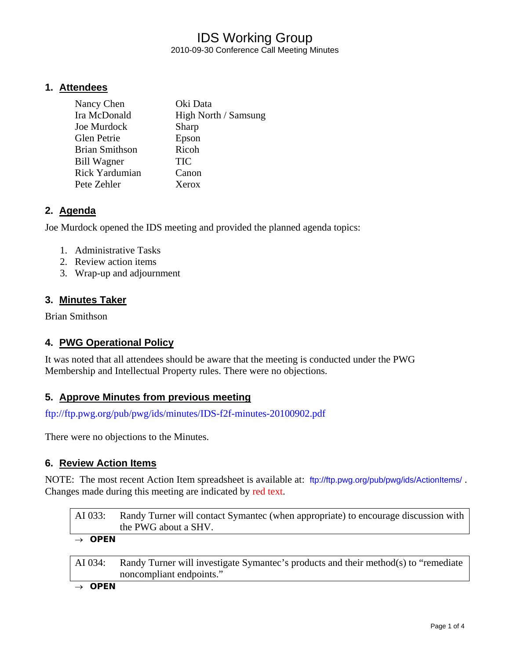## IDS Working Group 2010-09-30 Conference Call Meeting Minutes

#### **1. Attendees**

| Nancy Chen            | Oki Data             |
|-----------------------|----------------------|
| Ira McDonald          | High North / Samsung |
| Joe Murdock           | Sharp                |
| <b>Glen Petrie</b>    | Epson                |
| <b>Brian Smithson</b> | Ricoh                |
| <b>Bill Wagner</b>    | <b>TIC</b>           |
| <b>Rick Yardumian</b> | Canon                |
| Pete Zehler           | Xerox                |

#### **2. Agenda**

Joe Murdock opened the IDS meeting and provided the planned agenda topics:

- 1. Administrative Tasks
- 2. Review action items
- 3. Wrap-up and adjournment

#### **3. Minutes Taker**

Brian Smithson

### **4. PWG Operational Policy**

It was noted that all attendees should be aware that the meeting is conducted under the PWG Membership and Intellectual Property rules. There were no objections.

#### **5. Approve Minutes from previous meeting**

<ftp://ftp.pwg.org/pub/pwg/ids/minutes/IDS-f2f-minutes-20100902.pdf>

There were no objections to the Minutes.

#### **6. Review Action Items**

NOTE: The most recent Action Item spreadsheet is available at: <ftp://ftp.pwg.org/pub/pwg/ids/ActionItems/>. Changes made during this meeting are indicated by red text.

| AI 033:            | Randy Turner will contact Symantec (when appropriate) to encourage discussion with<br>the PWG about a SHV. |
|--------------------|------------------------------------------------------------------------------------------------------------|
| $\rightarrow$ OPEN |                                                                                                            |

AI 034: Randy Turner will investigate Symantec's products and their method(s) to "remediate noncompliant endpoints."

→ *OPEN*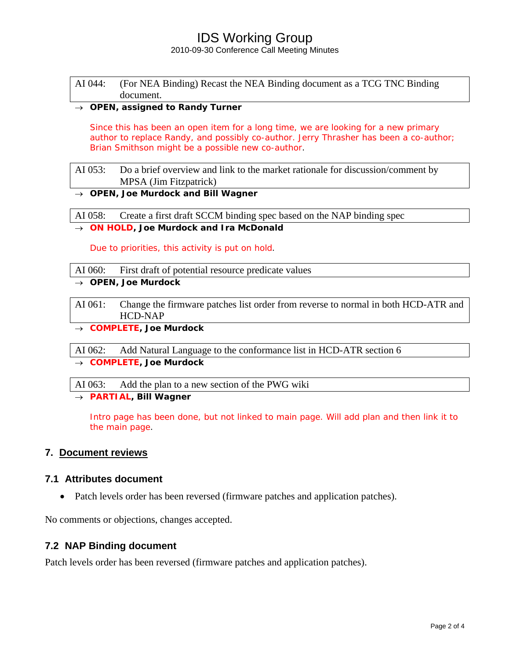## IDS Working Group

2010-09-30 Conference Call Meeting Minutes

| AI 044: (For NEA Binding) Recast the NEA Binding document as a TCG TNC Binding |
|--------------------------------------------------------------------------------|
| document.                                                                      |

#### → *OPEN, assigned to Randy Turner*

Since this has been an open item for a long time, we are looking for a new primary author to replace Randy, and possibly co-author. Jerry Thrasher has been a co-author; Brian Smithson might be a possible new co-author.

AI 053: Do a brief overview and link to the market rationale for discussion/comment by MPSA (Jim Fitzpatrick)

#### → *OPEN, Joe Murdock and Bill Wagner*

AI 058: Create a first draft SCCM binding spec based on the NAP binding spec

→ *ON HOLD, Joe Murdock and Ira McDonald* 

Due to priorities, this activity is put on hold.

- AI 060: First draft of potential resource predicate values
- → *OPEN, Joe Murdock*
- AI 061: Change the firmware patches list order from reverse to normal in both HCD-ATR and HCD-NAP
- → *COMPLETE, Joe Murdock*

AI 062: Add Natural Language to the conformance list in HCD-ATR section 6

→ *COMPLETE, Joe Murdock* 

AI 063: Add the plan to a new section of the PWG wiki

→ *PARTIAL, Bill Wagner* 

Intro page has been done, but not linked to main page. Will add plan and then link it to the main page.

#### **7. Document reviews**

#### **7.1 Attributes document**

• Patch levels order has been reversed (firmware patches and application patches).

No comments or objections, changes accepted.

#### **7.2 NAP Binding document**

Patch levels order has been reversed (firmware patches and application patches).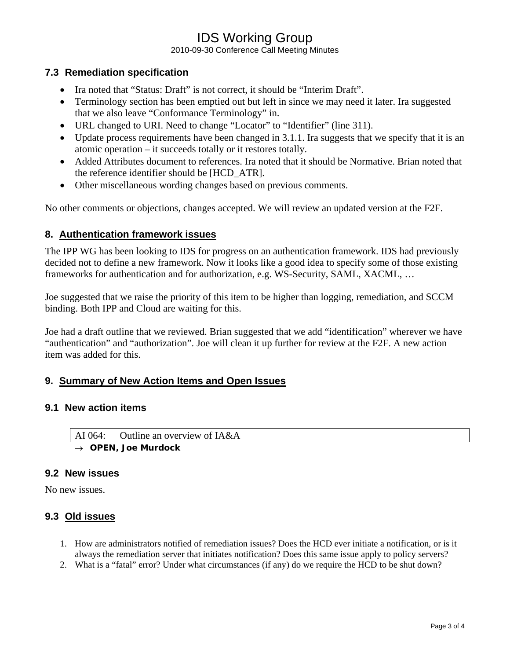# IDS Working Group

2010-09-30 Conference Call Meeting Minutes

#### **7.3 Remediation specification**

- Ira noted that "Status: Draft" is not correct, it should be "Interim Draft".
- Terminology section has been emptied out but left in since we may need it later. Ira suggested that we also leave "Conformance Terminology" in.
- URL changed to URI. Need to change "Locator" to "Identifier" (line 311).
- Update process requirements have been changed in 3.1.1. Ira suggests that we specify that it is an atomic operation – it succeeds totally or it restores totally.
- Added Attributes document to references. Ira noted that it should be Normative. Brian noted that the reference identifier should be [HCD\_ATR].
- Other miscellaneous wording changes based on previous comments.

No other comments or objections, changes accepted. We will review an updated version at the F2F.

#### **8. Authentication framework issues**

The IPP WG has been looking to IDS for progress on an authentication framework. IDS had previously decided not to define a new framework. Now it looks like a good idea to specify some of those existing frameworks for authentication and for authorization, e.g. WS-Security, SAML, XACML, …

Joe suggested that we raise the priority of this item to be higher than logging, remediation, and SCCM binding. Both IPP and Cloud are waiting for this.

Joe had a draft outline that we reviewed. Brian suggested that we add "identification" wherever we have "authentication" and "authorization". Joe will clean it up further for review at the F2F. A new action item was added for this.

#### **9. Summary of New Action Items and Open Issues**

#### **9.1 New action items**

AI 064: Outline an overview of IA&A → *OPEN, Joe Murdock* 

**9.2 New issues** 

No new issues.

#### **9.3 Old issues**

- 1. How are administrators notified of remediation issues? Does the HCD ever initiate a notification, or is it always the remediation server that initiates notification? Does this same issue apply to policy servers?
- 2. What is a "fatal" error? Under what circumstances (if any) do we require the HCD to be shut down?